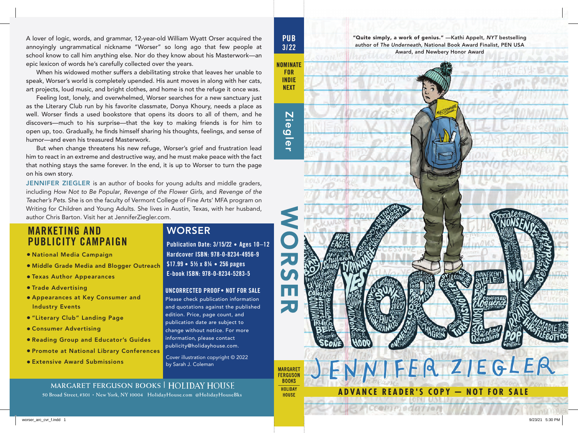

**ADVANCE READER'S COPY — NOT FOR SALE**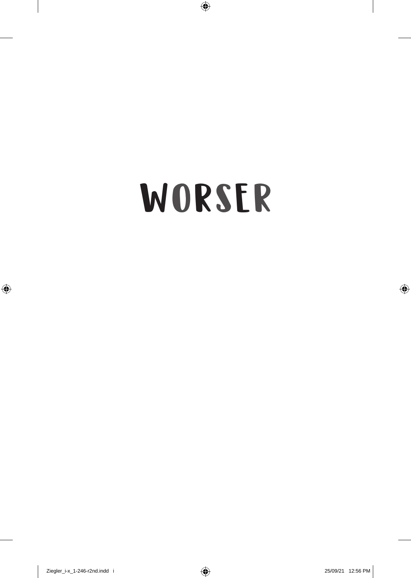# WORSER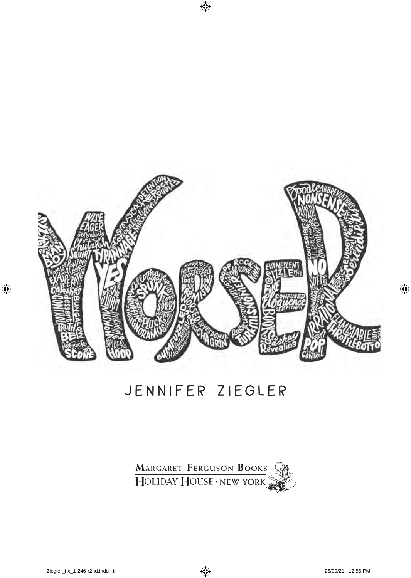

#### **J e n n i f e r Z i e g l e r Jennifer Ziegler**

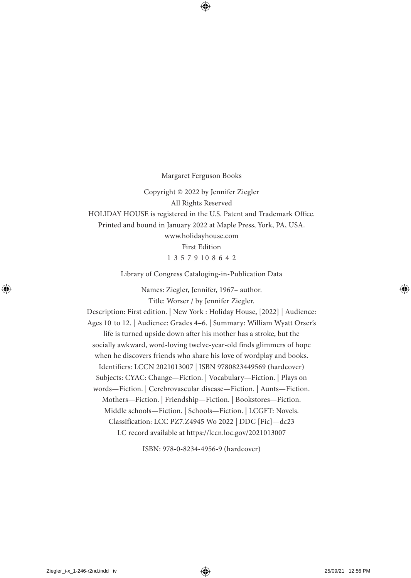Margaret Ferguson Books

Copyright © 2022 by Jennifer Ziegler All Rights Reserved

HOLIDAY HOUSE is registered in the U.S. Patent and Trademark Office.

Printed and bound in January 2022 at Maple Press, York, PA, USA.

www.holidayhouse.com First Edition 1 3 5 7 9 10 8 6 4 2

Library of Congress Cataloging-in-Publication Data

Names: Ziegler, Jennifer, 1967– author. Title: Worser / by Jennifer Ziegler.

Description: First edition. | New York : Holiday House, [2022] | Audience: Ages 10 to 12. | Audience: Grades 4–6. | Summary: William Wyatt Orser's life is turned upside down after his mother has a stroke, but the socially awkward, word-loving twelve-year-old finds glimmers of hope when he discovers friends who share his love of wordplay and books. Identifiers: LCCN 2021013007 | ISBN 9780823449569 (hardcover) Subjects: CYAC: Change—Fiction. | Vocabulary—Fiction. | Plays on words—Fiction. | Cerebrovascular disease—Fiction. | Aunts—Fiction. Mothers—Fiction. | Friendship—Fiction. | Bookstores—Fiction. Middle schools—Fiction. | Schools—Fiction. | LCGFT: Novels. Classification: LCC PZ7.Z4945 Wo 2022 | DDC [Fic]-dc23 LC record available at https://lccn.loc.gov/2021013007

ISBN: 978-0-8234-4956-9 (hardcover)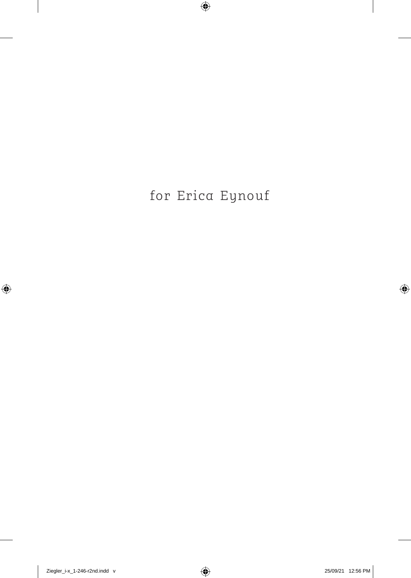#### for Erica Eynouf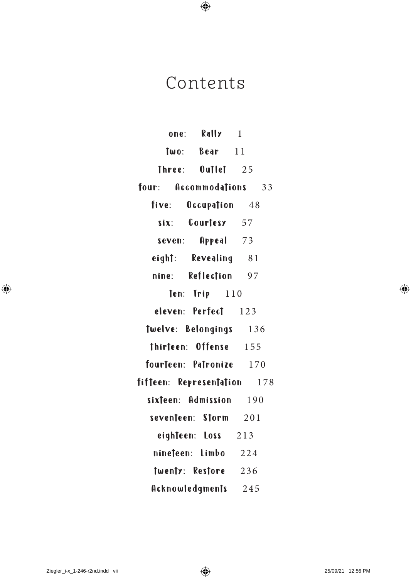#### Contents

| Rally<br>one:           | 1   |
|-------------------------|-----|
| $Two:$ Bear $11$        |     |
| Three: Outlet 25        |     |
| four: Accommodations    | 33  |
| five: Occupation 48     |     |
| six: Courtesy 57        |     |
| Appeal 73<br>seven:     |     |
| eight: Revealing 81     |     |
| nine: Reflection 97     |     |
| $ten:$ Trip $110$       |     |
| eleven: Perfect 123     |     |
| Twelve: Belongings 136  |     |
| Thirteen: Offense 155   |     |
| fourteen: Patronize 170 |     |
| fifteen: Representation | 178 |
| sixteen: Admission 190  |     |
| seventeen: Storm 201    |     |
| eighteen: Loss 213      |     |
| nineteen: Limbo 224     |     |
| Twenty: Restore 236     |     |
| Acknowledgments 245     |     |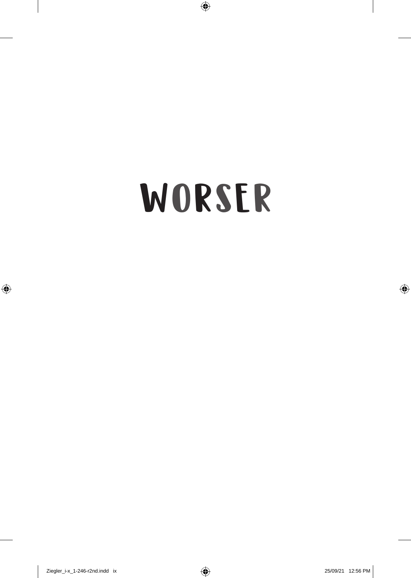# WORSER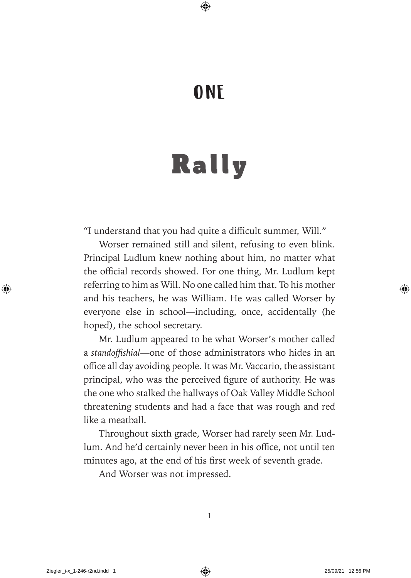#### ONE

# Rally

"I understand that you had quite a difficult summer, Will."

Worser remained still and silent, refusing to even blink. Principal Ludlum knew nothing about him, no matter what the official records showed. For one thing, Mr. Ludlum kept referring to him as Will. No one called him that. To his mother and his teachers, he was William. He was called Worser by everyone else in school— including, once, accidentally (he hoped), the school secretary.

Mr. Ludlum appeared to be what Worser's mother called a *standoffi shial*— one of those administrators who hides in an office all day avoiding people. It was Mr. Vaccario, the assistant principal, who was the perceived figure of authority. He was the one who stalked the hallways of Oak Valley Middle School threatening students and had a face that was rough and red like a meatball.

Throughout sixth grade, Worser had rarely seen Mr. Ludlum. And he'd certainly never been in his office, not until ten minutes ago, at the end of his first week of seventh grade.

And Worser was not impressed.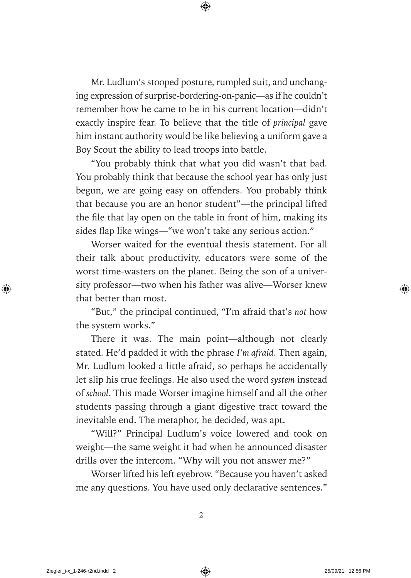Mr. Ludlum's stooped posture, rumpled suit, and unchanging expression of surprise- bordering-on- panic— as if he couldn't remember how he came to be in his current location— didn't exactly inspire fear. To believe that the title of *principal* gave him instant authority would be like believing a uniform gave a Boy Scout the ability to lead troops into battle.

"You probably think that what you did wasn't that bad. You probably think that because the school year has only just begun, we are going easy on offenders. You probably think that because you are an honor student"— the principal lifted the file that lay open on the table in front of him, making its sides flap like wings—"we won't take any serious action."

Worser waited for the eventual thesis statement. For all their talk about productivity, educators were some of the worst time-wasters on the planet. Being the son of a university professor—two when his father was alive—Worser knew that better than most.

"But," the principal continued, "I'm afraid that's *not* how the system works."

There it was. The main point—although not clearly stated. He'd padded it with the phrase *I'm afraid*. Then again, Mr. Ludlum looked a little afraid, so perhaps he accidentally let slip his true feelings. He also used the word *system* instead of *school*. This made Worser imagine himself and all the other students passing through a giant digestive tract toward the inevitable end. The metaphor, he decided, was apt.

"Will?" Principal Ludlum's voice lowered and took on weight— the same weight it had when he announced disaster drills over the intercom. "Why will you not answer me?"

Worser lifted his left eyebrow. "Because you haven't asked me any questions. You have used only declarative sentences ."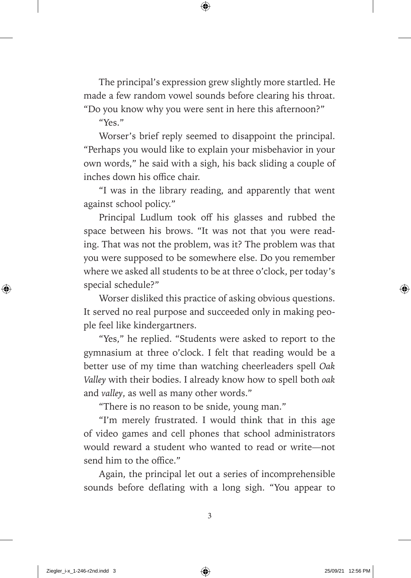The principal's expression grew slightly more startled. He made a few random vowel sounds before clearing his throat. "Do you know why you were sent in here this afternoon?"

"Yes."

Worser's brief reply seemed to disappoint the principal. "Perhaps you would like to explain your misbehavior in your own words," he said with a sigh, his back sliding a couple of inches down his office chair.

"I was in the library reading, and apparently that went against school policy."

Principal Ludlum took off his glasses and rubbed the space between his brows. "It was not that you were reading. That was not the problem, was it? The problem was that you were supposed to be somewhere else. Do you remember where we asked all students to be at three o'clock, per today's special schedule?"

Worser disliked this practice of asking obvious questions. It served no real purpose and succeeded only in making people feel like kindergartners.

"Yes," he replied. "Students were asked to report to the gymnasium at three o'clock. I felt that reading would be a better use of my time than watching cheerleaders spell *Oak Valley* with their bodies. I already know how to spell both *oak* and *valley*, as well as many other words."

"There is no reason to be snide, young man."

"I'm merely frustrated. I would think that in this age of video games and cell phones that school administrators would reward a student who wanted to read or write— not send him to the office."

Again, the principal let out a series of incomprehensible sounds before deflating with a long sigh. "You appear to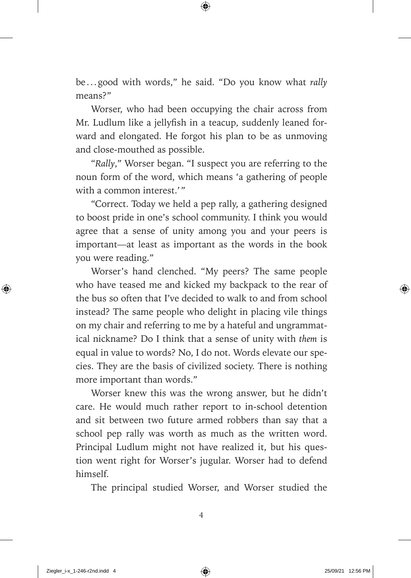be . . . good with words," he said. "Do you know what *rally* means?"

Worser, who had been occupying the chair across from Mr. Ludlum like a jellyfish in a teacup, suddenly leaned forward and elongated. He forgot his plan to be as unmoving and close- mouthed as possible.

"*Rally*," Worser began. "I suspect you are referring to the noun form of the word, which means 'a gathering of people with a common interest.'"

"Correct. Today we held a pep rally, a gathering designed to boost pride in one's school community. I think you would agree that a sense of unity among you and your peers is important— at least as important as the words in the book you were reading."

Worser's hand clenched. "My peers? The same people who have teased me and kicked my backpack to the rear of the bus so often that I've decided to walk to and from school instead? The same people who delight in placing vile things on my chair and referring to me by a hateful and ungrammatical nickname? Do I think that a sense of unity with *them* is equal in value to words? No, I do not. Words elevate our species. They are the basis of civilized society. There is nothing more important than words."

Worser knew this was the wrong answer, but he didn't care. He would much rather report to in-school detention and sit between two future armed robbers than say that a school pep rally was worth as much as the written word. Principal Ludlum might not have realized it, but his question went right for Worser's jugular. Worser had to defend himself.

The principal studied Worser, and Worser studied the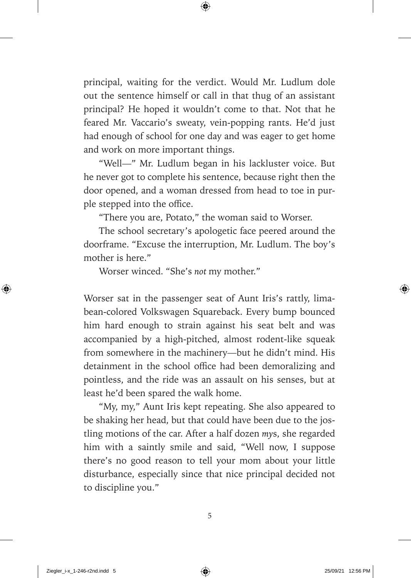principal, waiting for the verdict. Would Mr. Ludlum dole out the sentence himself or call in that thug of an assistant principal? He hoped it wouldn't come to that. Not that he feared Mr. Vaccario's sweaty, vein-popping rants. He'd just had enough of school for one day and was eager to get home and work on more important things.

" Well—" Mr. Ludlum began in his lackluster voice. But he never got to complete his sentence, because right then the door opened, and a woman dressed from head to toe in purple stepped into the office.

"There you are, Potato," the woman said to Worser.

The school secretary's apologetic face peered around the doorframe. "Excuse the interruption, Mr. Ludlum. The boy's mother is here."

Worser winced. "She's *not* my mother."

Worser sat in the passenger seat of Aunt Iris's rattly, limabean- colored Volkswagen Squareback. Every bump bounced him hard enough to strain against his seat belt and was accompanied by a high-pitched, almost rodent-like squeak from somewhere in the machinery— but he didn't mind. His detainment in the school office had been demoralizing and pointless, and the ride was an assault on his senses, but at least he'd been spared the walk home.

"My, my," Aunt Iris kept repeating. She also appeared to be shaking her head, but that could have been due to the jostling motions of the car. After a half dozen *my*s, she regarded him with a saintly smile and said, "Well now, I suppose there's no good reason to tell your mom about your little disturbance, especially since that nice principal decided not to discipline you."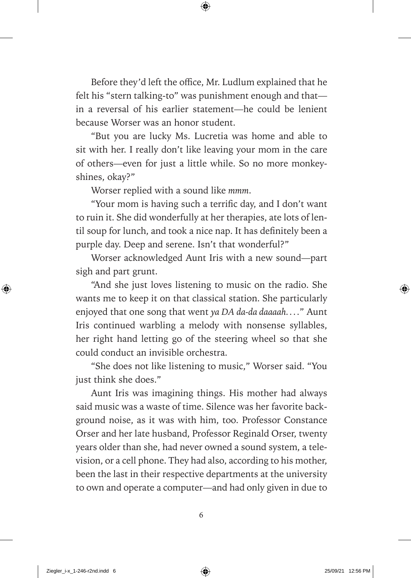Before they'd left the office, Mr. Ludlum explained that he felt his "stern talking-to" was punishment enough and that in a reversal of his earlier statement— he could be lenient because Worser was an honor student.

"But you are lucky Ms. Lucretia was home and able to sit with her. I really don't like leaving your mom in the care of others— even for just a little while. So no more monkeyshines, okay?"

Worser replied with a sound like *mmm*.

"Your mom is having such a terrific day, and I don't want to ruin it. She did wonderfully at her therapies, ate lots of lentil soup for lunch, and took a nice nap. It has definitely been a purple day. Deep and serene. Isn't that wonderful?"

Worser acknowledged Aunt Iris with a new sound— part sigh and part grunt.

"And she just loves listening to music on the radio. She wants me to keep it on that classical station. She particularly enjoyed that one song that went *ya DA da-da daaaah. . . .*" Aunt Iris continued warbling a melody with nonsense syllables, her right hand letting go of the steering wheel so that she could conduct an invisible orchestra.

"She does not like listening to music," Worser said. "You just think she does."

Aunt Iris was imagining things. His mother had always said music was a waste of time. Silence was her favorite background noise, as it was with him, too. Professor Constance Orser and her late husband, Professor Reginald Orser, twenty years older than she, had never owned a sound system, a television, or a cell phone. They had also, according to his mother, been the last in their respective departments at the university to own and operate a computer— and had only given in due to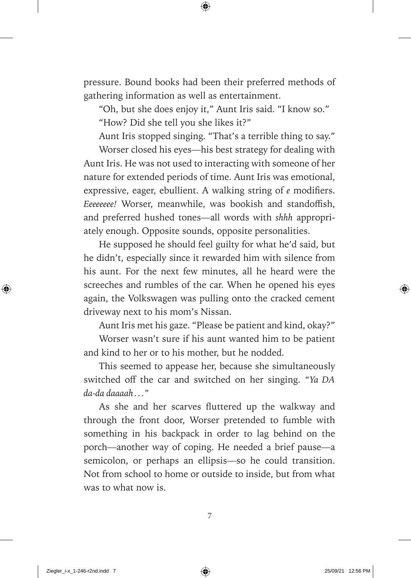pressure. Bound books had been their preferred methods of gathering information as well as entertainment.

"Oh, but she does enjoy it," Aunt Iris said. "I know so."

"How? Did she tell you she likes it?"

Aunt Iris stopped singing. "That's a terrible thing to say."

Worser closed his eyes—his best strategy for dealing with Aunt Iris. He was not used to interacting with someone of her nature for extended periods of time. Aunt Iris was emotional, expressive, eager, ebullient. A walking string of *e* modifiers. *Eeeeeeee!* Worser, meanwhile, was bookish and standoffish, and preferred hushed tones— all words with *shhh* appropriately enough. Opposite sounds, opposite personalities.

He supposed he should feel guilty for what he'd said, but he didn't, especially since it rewarded him with silence from his aunt. For the next few minutes, all he heard were the screeches and rumbles of the car. When he opened his eyes again, the Volkswagen was pulling onto the cracked cement driveway next to his mom's Nissan.

Aunt Iris met his gaze. "Please be patient and kind, okay?"

Worser wasn't sure if his aunt wanted him to be patient and kind to her or to his mother, but he nodded.

This seemed to appease her, because she simultaneously switched off the car and switched on her singing. *"Ya DA da-da daaaah . . ."*

As she and her scarves fluttered up the walkway and through the front door, Worser pretended to fumble with something in his backpack in order to lag behind on the porch— another way of coping. He needed a brief pause— a semicolon, or perhaps an ellipsis— so he could transition. Not from school to home or outside to inside, but from what was to what now is.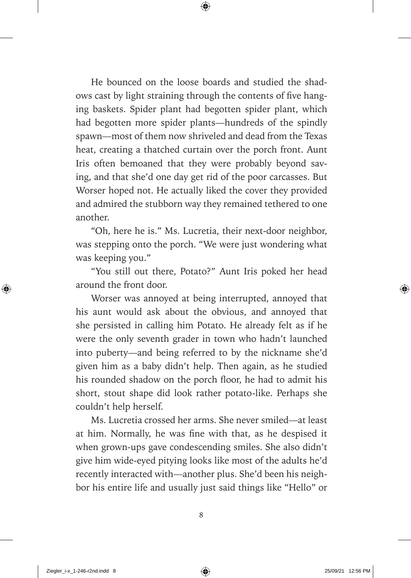He bounced on the loose boards and studied the shadows cast by light straining through the contents of five hanging baskets. Spider plant had begotten spider plant, which had begotten more spider plants— hundreds of the spindly spawn— most of them now shriveled and dead from the Texas heat, creating a thatched curtain over the porch front. Aunt Iris often bemoaned that they were probably beyond saving, and that she'd one day get rid of the poor carcasses. But Worser hoped not. He actually liked the cover they provided and admired the stubborn way they remained tethered to one another.

"Oh, here he is." Ms. Lucretia, their next-door neighbor, was stepping onto the porch. "We were just wondering what was keeping you."

"You still out there, Potato?" Aunt Iris poked her head around the front door.

Worser was annoyed at being interrupted, annoyed that his aunt would ask about the obvious, and annoyed that she persisted in calling him Potato. He already felt as if he were the only seventh grader in town who hadn't launched into puberty— and being referred to by the nickname she'd given him as a baby didn't help. Then again, as he studied his rounded shadow on the porch floor, he had to admit his short, stout shape did look rather potato-like. Perhaps she couldn't help herself.

Ms. Lucretia crossed her arms. She never smiled— at least at him. Normally, he was fine with that, as he despised it when grown-ups gave condescending smiles. She also didn't give him wide-eyed pitying looks like most of the adults he'd recently interacted with— another plus. She'd been his neighbor his entire life and usually just said things like "Hello" or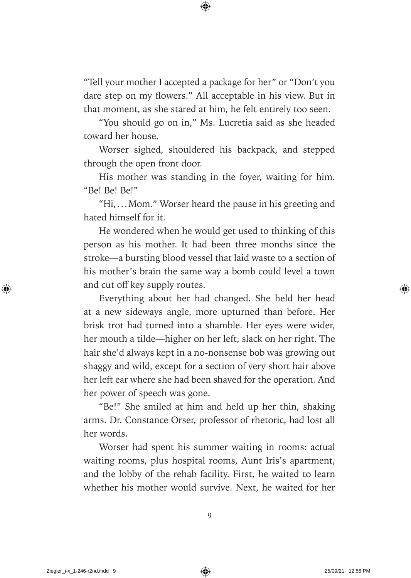"Tell your mother I accepted a package for her" or "Don't you dare step on my flowers." All acceptable in his view. But in that moment, as she stared at him, he felt entirely too seen.

"You should go on in," Ms. Lucretia said as she headed toward her house.

Worser sighed, shouldered his backpack, and stepped through the open front door.

His mother was standing in the foyer, waiting for him. "Be! Be! Be!"

"Hi, . . . Mom." Worser heard the pause in his greeting and hated himself for it.

He wondered when he would get used to thinking of this person as his mother. It had been three months since the stroke—a bursting blood vessel that laid waste to a section of his mother's brain the same way a bomb could level a town and cut off key supply routes.

Everything about her had changed. She held her head at a new sideways angle, more upturned than before. Her brisk trot had turned into a shamble. Her eyes were wider, her mouth a tilde— higher on her left, slack on her right. The hair she'd always kept in a no-nonsense bob was growing out shaggy and wild, except for a section of very short hair above her left ear where she had been shaved for the operation. And her power of speech was gone.

"Be!" She smiled at him and held up her thin, shaking arms. Dr. Constance Orser, professor of rhetoric, had lost all her words.

Worser had spent his summer waiting in rooms: actual waiting rooms, plus hospital rooms, Aunt Iris's apartment, and the lobby of the rehab facility. First, he waited to learn whether his mother would survive. Next, he waited for her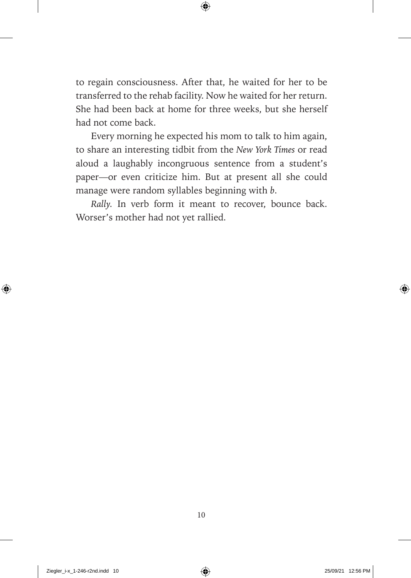to regain consciousness. After that, he waited for her to be transferred to the rehab facility. Now he waited for her return. She had been back at home for three weeks, but she herself had not come back.

Every morning he expected his mom to talk to him again, to share an interesting tidbit from the *New York Times* or read aloud a laughably incongruous sentence from a student's paper— or even criticize him. But at present all she could manage were random syllables beginning with *b*.

*Rally.* In verb form it meant to recover, bounce back. Worser's mother had not yet rallied.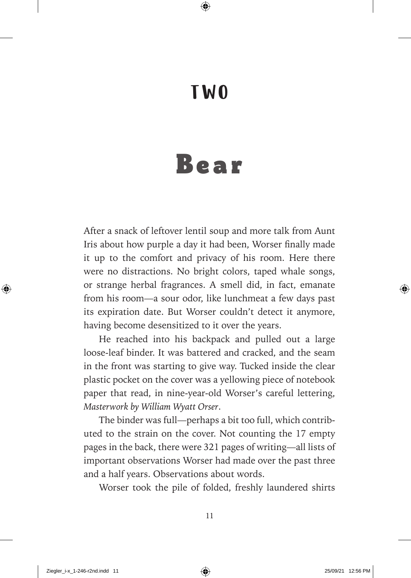#### TWO

### Bear

After a snack of leftover lentil soup and more talk from Aunt Iris about how purple a day it had been, Worser finally made it up to the comfort and privacy of his room. Here there were no distractions. No bright colors, taped whale songs, or strange herbal fragrances. A smell did, in fact, emanate from his room—a sour odor, like lunchmeat a few days past its expiration date. But Worser couldn't detect it anymore, having become desensitized to it over the years.

He reached into his backpack and pulled out a large loose- leaf binder. It was battered and cracked, and the seam in the front was starting to give way. Tucked inside the clear plastic pocket on the cover was a yellowing piece of notebook paper that read, in nine-year-old Worser's careful lettering, *Masterwork by William Wyatt Orser*.

The binder was full— perhaps a bit too full, which contributed to the strain on the cover. Not counting the 17 empty pages in the back, there were 321 pages of writing— all lists of important observations Worser had made over the past three and a half years. Observations about words.

Worser took the pile of folded, freshly laundered shirts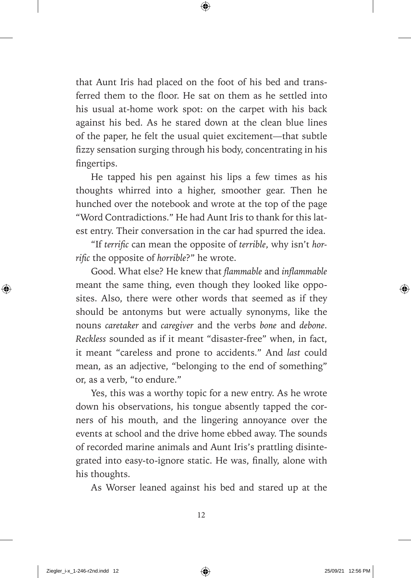that Aunt Iris had placed on the foot of his bed and transferred them to the floor. He sat on them as he settled into his usual at-home work spot: on the carpet with his back against his bed. As he stared down at the clean blue lines of the paper, he felt the usual quiet excitement— that subtle fizzy sensation surging through his body, concentrating in his fingertips.

He tapped his pen against his lips a few times as his thoughts whirred into a higher, smoother gear. Then he hunched over the notebook and wrote at the top of the page "Word Contradictions." He had Aunt Iris to thank for this latest entry. Their conversation in the car had spurred the idea.

"If *terrific* can mean the opposite of *terrible*, why isn't hor*rific* the opposite of *horrible*?" he wrote.

Good. What else? He knew that *flammable* and *inflammable* meant the same thing, even though they looked like opposites. Also, there were other words that seemed as if they should be antonyms but were actually synonyms, like the nouns *caretaker* and *caregiver* and the verbs *bone* and *debone*. *Reckless* sounded as if it meant "disaster-free" when, in fact, it meant "careless and prone to accidents." And *last* could mean, as an adjective, "belonging to the end of something" or, as a verb, "to endure."

Yes, this was a worthy topic for a new entry. As he wrote down his observations, his tongue absently tapped the corners of his mouth, and the lingering annoyance over the events at school and the drive home ebbed away. The sounds of recorded marine animals and Aunt Iris's prattling disintegrated into easy-to-ignore static. He was, finally, alone with his thoughts.

As Worser leaned against his bed and stared up at the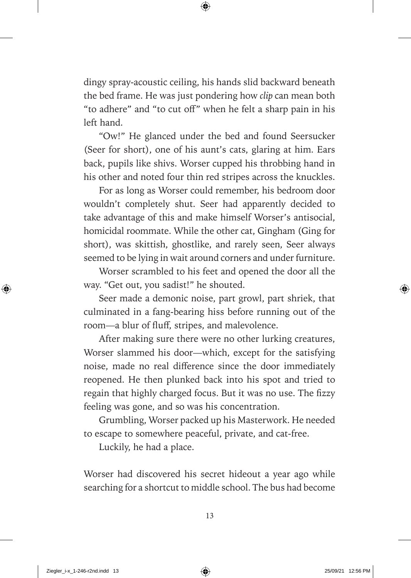dingy spray-acoustic ceiling, his hands slid backward beneath the bed frame. He was just pondering how *clip* can mean both "to adhere" and "to cut off" when he felt a sharp pain in his left hand.

"Ow!" He glanced under the bed and found Seersucker (Seer for short), one of his aunt's cats, glaring at him. Ears back, pupils like shivs. Worser cupped his throbbing hand in his other and noted four thin red stripes across the knuckles.

For as long as Worser could remember, his bedroom door wouldn't completely shut. Seer had apparently decided to take advantage of this and make himself Worser's antisocial, homicidal roommate. While the other cat, Gingham (Ging for short), was skittish, ghostlike, and rarely seen, Seer always seemed to be lying in wait around corners and under furniture.

Worser scrambled to his feet and opened the door all the way. "Get out, you sadist!" he shouted.

Seer made a demonic noise, part growl, part shriek, that culminated in a fang- bearing hiss before running out of the room—a blur of fluff, stripes, and malevolence.

After making sure there were no other lurking creatures, Worser slammed his door—which, except for the satisfying noise, made no real difference since the door immediately reopened. He then plunked back into his spot and tried to regain that highly charged focus. But it was no use. The fizzy feeling was gone, and so was his concentration.

Grumbling, Worser packed up his Masterwork. He needed to escape to somewhere peaceful, private, and cat-free.

Luckily, he had a place.

Worser had discovered his secret hideout a year ago while searching for a shortcut to middle school. The bus had become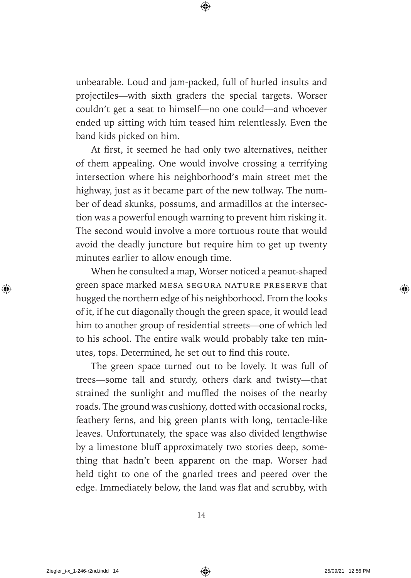unbearable. Loud and jam-packed, full of hurled insults and projectiles— with sixth graders the special targets. Worser couldn't get a seat to himself-no one could-and whoever ended up sitting with him teased him relentlessly. Even the band kids picked on him.

At first, it seemed he had only two alternatives, neither of them appealing. One would involve crossing a terrifying intersection where his neighborhood's main street met the highway, just as it became part of the new tollway. The number of dead skunks, possums, and armadillos at the intersection was a powerful enough warning to prevent him risking it. The second would involve a more tortuous route that would avoid the deadly juncture but require him to get up twenty minutes earlier to allow enough time.

When he consulted a map, Worser noticed a peanut-shaped green space marked mesa segura nature preserve that hugged the northern edge of his neighborhood. From the looks of it, if he cut diagonally though the green space, it would lead him to another group of residential streets— one of which led to his school. The entire walk would probably take ten minutes, tops. Determined, he set out to find this route.

The green space turned out to be lovely. It was full of trees— some tall and sturdy, others dark and twisty— that strained the sunlight and muffled the noises of the nearby roads. The ground was cushiony, dotted with occasional rocks, feathery ferns, and big green plants with long, tentacle-like leaves. Unfortunately, the space was also divided lengthwise by a limestone bluff approximately two stories deep, something that hadn't been apparent on the map. Worser had held tight to one of the gnarled trees and peered over the edge. Immediately below, the land was flat and scrubby, with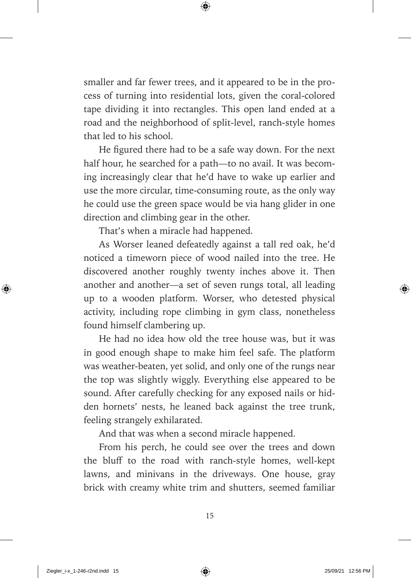smaller and far fewer trees, and it appeared to be in the process of turning into residential lots, given the coral- colored tape dividing it into rectangles. This open land ended at a road and the neighborhood of split-level, ranch-style homes that led to his school.

He figured there had to be a safe way down. For the next half hour, he searched for a path—to no avail. It was becoming increasingly clear that he'd have to wake up earlier and use the more circular, time-consuming route, as the only way he could use the green space would be via hang glider in one direction and climbing gear in the other.

That's when a miracle had happened.

As Worser leaned defeatedly against a tall red oak, he'd noticed a timeworn piece of wood nailed into the tree. He discovered another roughly twenty inches above it. Then another and another—a set of seven rungs total, all leading up to a wooden platform. Worser, who detested physical activity, including rope climbing in gym class, nonetheless found himself clambering up.

He had no idea how old the tree house was, but it was in good enough shape to make him feel safe. The platform was weather-beaten, yet solid, and only one of the rungs near the top was slightly wiggly. Everything else appeared to be sound. After carefully checking for any exposed nails or hidden hornets' nests, he leaned back against the tree trunk, feeling strangely exhilarated.

And that was when a second miracle happened.

From his perch, he could see over the trees and down the bluff to the road with ranch-style homes, well-kept lawns, and minivans in the driveways. One house, gray brick with creamy white trim and shutters, seemed familiar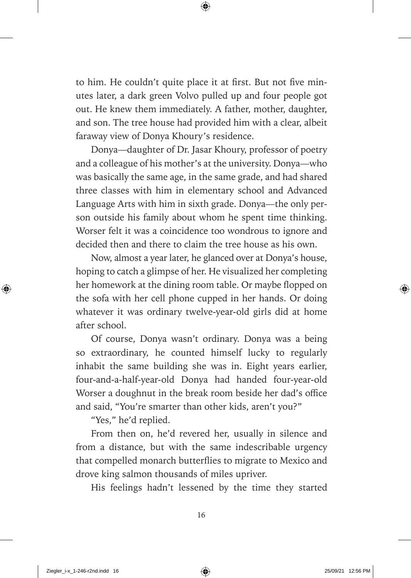to him. He couldn't quite place it at first. But not five minutes later, a dark green Volvo pulled up and four people got out. He knew them immediately. A father, mother, daughter, and son. The tree house had provided him with a clear, albeit faraway view of Donya Khoury's residence.

 Donya— daughter of Dr. Jasar Khoury, professor of poetry and a colleague of his mother's at the university. Donya— who was basically the same age, in the same grade, and had shared three classes with him in elementary school and Advanced Language Arts with him in sixth grade. Donya— the only person outside his family about whom he spent time thinking. Worser felt it was a coincidence too wondrous to ignore and decided then and there to claim the tree house as his own.

Now, almost a year later, he glanced over at Donya's house, hoping to catch a glimpse of her. He visualized her completing her homework at the dining room table. Or maybe flopped on the sofa with her cell phone cupped in her hands. Or doing whatever it was ordinary twelve-year-old girls did at home after school.

Of course, Donya wasn't ordinary. Donya was a being so extraordinary, he counted himself lucky to regularly inhabit the same building she was in. Eight years earlier, four-and-a-half-year-old Donya had handed four-year-old Worser a doughnut in the break room beside her dad's office and said, "You're smarter than other kids, aren't you?"

"Yes," he'd replied.

From then on, he'd revered her, usually in silence and from a distance, but with the same indescribable urgency that compelled monarch butterflies to migrate to Mexico and drove king salmon thousands of miles upriver.

His feelings hadn't lessened by the time they started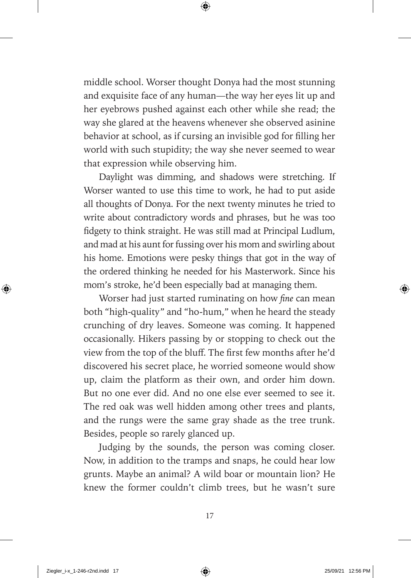middle school. Worser thought Donya had the most stunning and exquisite face of any human— the way her eyes lit up and her eyebrows pushed against each other while she read; the way she glared at the heavens whenever she observed asinine behavior at school, as if cursing an invisible god for filling her world with such stupidity; the way she never seemed to wear that expression while observing him.

Daylight was dimming, and shadows were stretching. If Worser wanted to use this time to work, he had to put aside all thoughts of Donya. For the next twenty minutes he tried to write about contradictory words and phrases, but he was too fidgety to think straight. He was still mad at Principal Ludlum, and mad at his aunt for fussing over his mom and swirling about his home. Emotions were pesky things that got in the way of the ordered thinking he needed for his Masterwork. Since his mom's stroke, he'd been especially bad at managing them.

Worser had just started ruminating on how *fine* can mean both "high-quality" and "ho-hum," when he heard the steady crunching of dry leaves. Someone was coming. It happened occasionally. Hikers passing by or stopping to check out the view from the top of the bluff. The first few months after he'd discovered his secret place, he worried someone would show up, claim the platform as their own, and order him down. But no one ever did. And no one else ever seemed to see it. The red oak was well hidden among other trees and plants, and the rungs were the same gray shade as the tree trunk. Besides, people so rarely glanced up.

Judging by the sounds, the person was coming closer. Now, in addition to the tramps and snaps, he could hear low grunts. Maybe an animal? A wild boar or mountain lion? He knew the former couldn't climb trees, but he wasn't sure

17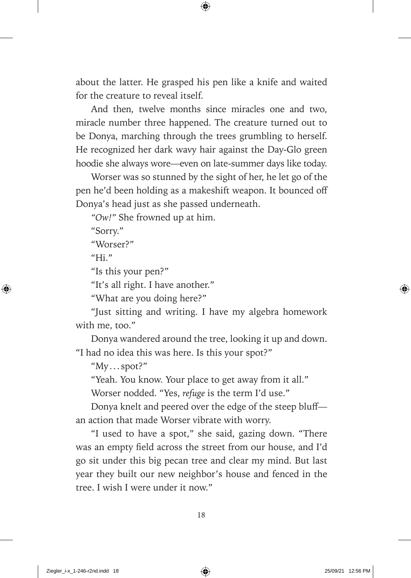about the latter. He grasped his pen like a knife and waited for the creature to reveal itself.

And then, twelve months since miracles one and two, miracle number three happened. The creature turned out to be Donya, marching through the trees grumbling to herself. He recognized her dark wavy hair against the Day-Glo green hoodie she always wore— even on late- summer days like today.

Worser was so stunned by the sight of her, he let go of the pen he'd been holding as a makeshift weapon. It bounced off Donya's head just as she passed underneath.

*"Ow!"* She frowned up at him.

"Sorry."

"Worser?"

" $Hi.$ "

"Is this your pen?"

"It's all right. I have another."

"What are you doing here?"

"Just sitting and writing. I have my algebra homework with me, too."

Donya wandered around the tree, looking it up and down. "I had no idea this was here. Is this your spot?"

"My . . . spot?"

"Yeah. You know. Your place to get away from it all."

Worser nodded. "Yes, *refuge* is the term I'd use."

Donya knelt and peered over the edge of the steep bluffan action that made Worser vibrate with worry.

"I used to have a spot," she said, gazing down. "There was an empty field across the street from our house, and I'd go sit under this big pecan tree and clear my mind. But last year they built our new neighbor's house and fenced in the tree. I wish I were under it now."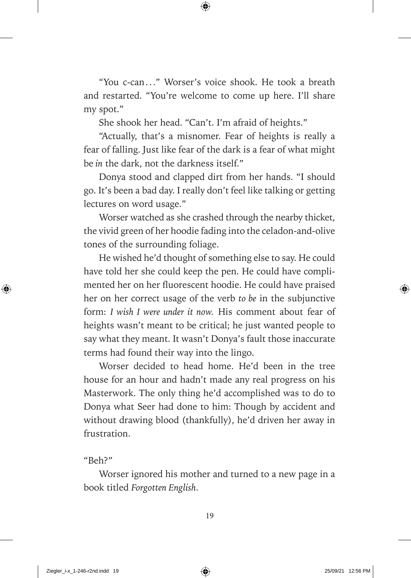"You c-can ..." Worser's voice shook. He took a breath and restarted. "You're welcome to come up here. I'll share my spot."

She shook her head. "Can't. I'm afraid of heights."

"Actually, that's a misnomer. Fear of heights is really a fear of falling. Just like fear of the dark is a fear of what might be *in* the dark, not the darkness itself."

Donya stood and clapped dirt from her hands. "I should go. It's been a bad day. I really don't feel like talking or getting lectures on word usage."

Worser watched as she crashed through the nearby thicket, the vivid green of her hoodie fading into the celadon-and-olive tones of the surrounding foliage.

He wished he'd thought of something else to say. He could have told her she could keep the pen. He could have complimented her on her fluorescent hoodie. He could have praised her on her correct usage of the verb *to be* in the subjunctive form: *I wish I were under it now.* His comment about fear of heights wasn't meant to be critical; he just wanted people to say what they meant. It wasn't Donya's fault those inaccurate terms had found their way into the lingo.

Worser decided to head home. He'd been in the tree house for an hour and hadn't made any real progress on his Masterwork. The only thing he'd accomplished was to do to Donya what Seer had done to him: Though by accident and without drawing blood (thankfully), he'd driven her away in frustration.

"Beh?"

Worser ignored his mother and turned to a new page in a book titled *Forgotten English*.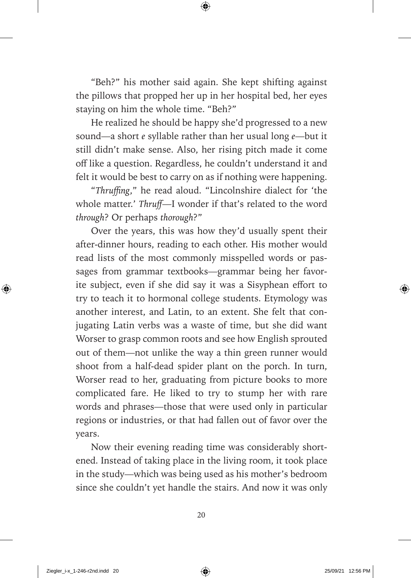"Beh?" his mother said again. She kept shifting against the pillows that propped her up in her hospital bed, her eyes staying on him the whole time. "Beh?"

He realized he should be happy she'd progressed to a new sound—a short *e* syllable rather than her usual long *e*—but it still didn't make sense. Also, her rising pitch made it come off like a question. Regardless, he couldn't understand it and felt it would be best to carry on as if nothing were happening.

"Thruffing," he read aloud. "Lincolnshire dialect for 'the whole matter.' *Thruff*—I wonder if that's related to the word *through*? Or perhaps *thorough*?"

Over the years, this was how they'd usually spent their after-dinner hours, reading to each other. His mother would read lists of the most commonly misspelled words or passages from grammar textbooks— grammar being her favorite subject, even if she did say it was a Sisyphean effort to try to teach it to hormonal college students. Etymology was another interest, and Latin, to an extent. She felt that conjugating Latin verbs was a waste of time, but she did want Worser to grasp common roots and see how English sprouted out of them— not unlike the way a thin green runner would shoot from a half-dead spider plant on the porch. In turn, Worser read to her, graduating from picture books to more complicated fare. He liked to try to stump her with rare words and phrases— those that were used only in particular regions or industries, or that had fallen out of favor over the years.

Now their evening reading time was considerably shortened. Instead of taking place in the living room, it took place in the study— which was being used as his mother's bedroom since she couldn't yet handle the stairs. And now it was only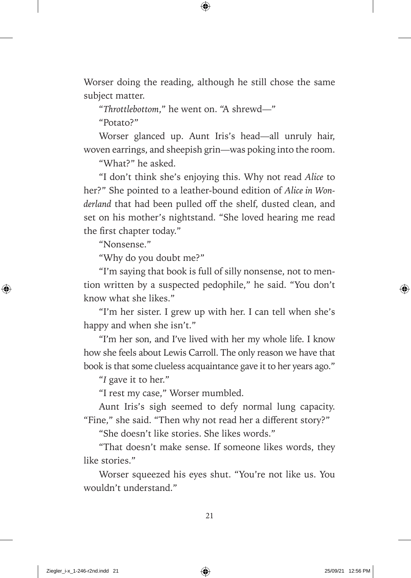Worser doing the reading, although he still chose the same subject matter.

"*Throttlebottom*," he went on. "A shrewd—"

"Potato?"

Worser glanced up. Aunt Iris's head—all unruly hair, woven earrings, and sheepish grin— was poking into the room.

"What?" he asked.

"I don't think she's enjoying this. Why not read *Alice* to her?" She pointed to a leather- bound edition of *Alice in Wonderland* that had been pulled off the shelf, dusted clean, and set on his mother's nightstand. "She loved hearing me read the first chapter today."

"Nonsense."

"Why do you doubt me?"

"I'm saying that book is full of silly nonsense, not to mention written by a suspected pedophile," he said. "You don't know what she likes."

"I'm her sister. I grew up with her. I can tell when she's happy and when she isn't."

"I'm her son, and I've lived with her my whole life. I know how she feels about Lewis Carroll. The only reason we have that book is that some clueless acquaintance gave it to her years ago."

"*I* gave it to her."

"I rest my case," Worser mumbled.

Aunt Iris's sigh seemed to defy normal lung capacity. "Fine," she said. "Then why not read her a different story?"

"She doesn't like stories. She likes words."

"That doesn't make sense. If someone likes words, they like stories."

Worser squeezed his eyes shut. "You're not like us. You wouldn't understand."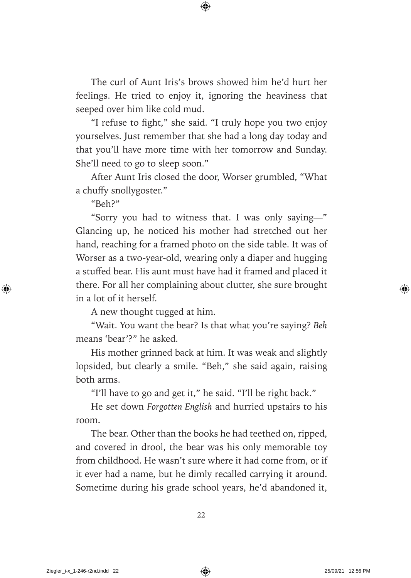The curl of Aunt Iris's brows showed him he'd hurt her feelings. He tried to enjoy it, ignoring the heaviness that seeped over him like cold mud.

"I refuse to fight," she said. "I truly hope you two enjoy yourselves. Just remember that she had a long day today and that you'll have more time with her tomorrow and Sunday. She'll need to go to sleep soon."

After Aunt Iris closed the door, Worser grumbled, "What a chuffy snollygoster."

 $"Reh?"$ 

"Sorry you had to witness that. I was only saying—" Glancing up, he noticed his mother had stretched out her hand, reaching for a framed photo on the side table. It was of Worser as a two-year-old, wearing only a diaper and hugging a stuffed bear. His aunt must have had it framed and placed it there. For all her complaining about clutter, she sure brought in a lot of it herself.

A new thought tugged at him.

"Wait. You want the bear? Is that what you're saying? *Beh* means 'bear'?" he asked.

His mother grinned back at him. It was weak and slightly lopsided, but clearly a smile. "Beh," she said again, raising both arms.

"I'll have to go and get it," he said. "I'll be right back."

He set down *Forgotten English* and hurried upstairs to his room.

The bear. Other than the books he had teethed on, ripped, and covered in drool, the bear was his only memorable toy from childhood. He wasn't sure where it had come from, or if it ever had a name, but he dimly recalled carrying it around. Sometime during his grade school years, he'd abandoned it,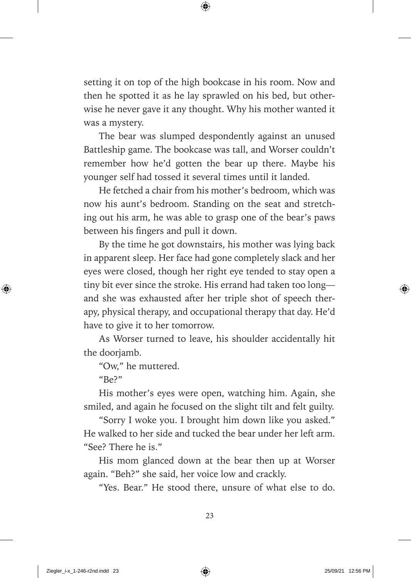setting it on top of the high bookcase in his room. Now and then he spotted it as he lay sprawled on his bed, but otherwise he never gave it any thought. Why his mother wanted it was a mystery.

The bear was slumped despondently against an unused Battleship game. The bookcase was tall, and Worser couldn't remember how he'd gotten the bear up there. Maybe his younger self had tossed it several times until it landed.

He fetched a chair from his mother's bedroom, which was now his aunt's bedroom. Standing on the seat and stretching out his arm, he was able to grasp one of the bear's paws between his fingers and pull it down.

By the time he got downstairs, his mother was lying back in apparent sleep. Her face had gone completely slack and her eyes were closed, though her right eye tended to stay open a tiny bit ever since the stroke. His errand had taken too long and she was exhausted after her triple shot of speech therapy, physical therapy, and occupational therapy that day. He'd have to give it to her tomorrow.

As Worser turned to leave, his shoulder accidentally hit the doorjamb.

"Ow," he muttered.

 $"Be?"$ 

His mother's eyes were open, watching him. Again, she smiled, and again he focused on the slight tilt and felt guilty.

"Sorry I woke you. I brought him down like you asked." He walked to her side and tucked the bear under her left arm. "See? There he is."

His mom glanced down at the bear then up at Worser again. "Beh?" she said, her voice low and crackly.

"Yes. Bear." He stood there, unsure of what else to do.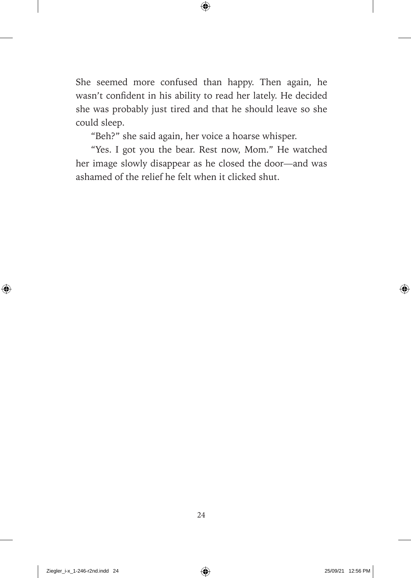She seemed more confused than happy. Then again, he wasn't confident in his ability to read her lately. He decided she was probably just tired and that he should leave so she could sleep.

"Beh?" she said again, her voice a hoarse whisper.

"Yes. I got you the bear. Rest now, Mom." He watched her image slowly disappear as he closed the door— and was ashamed of the relief he felt when it clicked shut.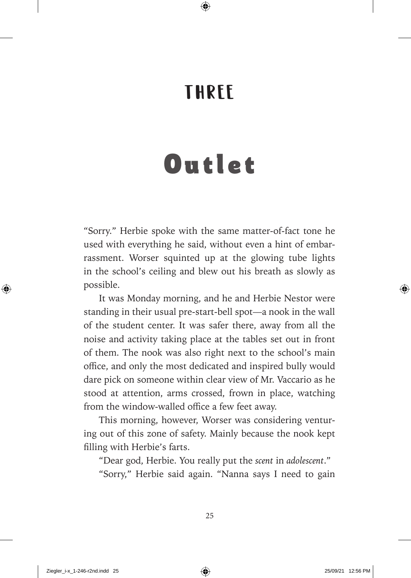#### THREE

## Outlet

"Sorry." Herbie spoke with the same matter-of-fact tone he used with everything he said, without even a hint of embarrassment. Worser squinted up at the glowing tube lights in the school's ceiling and blew out his breath as slowly as possible.

It was Monday morning, and he and Herbie Nestor were standing in their usual pre-start-bell spot—a nook in the wall of the student center. It was safer there, away from all the noise and activity taking place at the tables set out in front of them. The nook was also right next to the school's main office, and only the most dedicated and inspired bully would dare pick on someone within clear view of Mr. Vaccario as he stood at attention, arms crossed, frown in place, watching from the window-walled office a few feet away.

This morning, however, Worser was considering venturing out of this zone of safety. Mainly because the nook kept filling with Herbie's farts.

"Dear god, Herbie. You really put the *scent* in *adolescent*." "Sorry," Herbie said again. "Nanna says I need to gain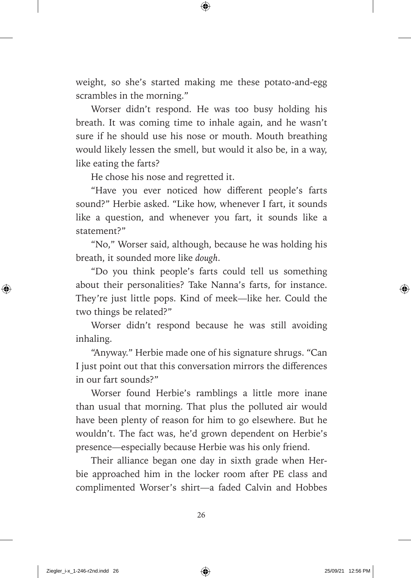weight, so she's started making me these potato-and-egg scrambles in the morning."

Worser didn't respond. He was too busy holding his breath. It was coming time to inhale again, and he wasn't sure if he should use his nose or mouth. Mouth breathing would likely lessen the smell, but would it also be, in a way, like eating the farts?

He chose his nose and regretted it.

"Have you ever noticed how different people's farts sound?" Herbie asked. "Like how, whenever I fart, it sounds like a question, and whenever you fart, it sounds like a statement?"

"No," Worser said, although, because he was holding his breath, it sounded more like *dough*.

"Do you think people's farts could tell us something about their personalities? Take Nanna's farts, for instance. They're just little pops. Kind of meek—like her. Could the two things be related?"

Worser didn't respond because he was still avoiding inhaling.

"Anyway." Herbie made one of his signature shrugs. "Can I just point out that this conversation mirrors the differences in our fart sounds?"

Worser found Herbie's ramblings a little more inane than usual that morning. That plus the polluted air would have been plenty of reason for him to go elsewhere. But he wouldn't. The fact was, he'd grown dependent on Herbie's presence— especially because Herbie was his only friend.

Their alliance began one day in sixth grade when Herbie approached him in the locker room after PE class and complimented Worser's shirt-a faded Calvin and Hobbes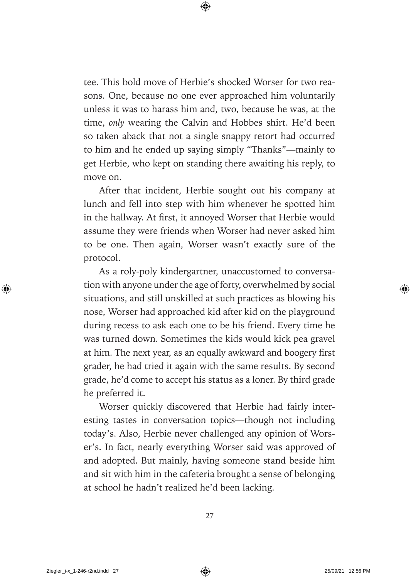tee. This bold move of Herbie's shocked Worser for two reasons. One, because no one ever approached him voluntarily unless it was to harass him and, two, because he was, at the time, *only* wearing the Calvin and Hobbes shirt. He'd been so taken aback that not a single snappy retort had occurred to him and he ended up saying simply "Thanks"— mainly to get Herbie, who kept on standing there awaiting his reply, to move on.

After that incident, Herbie sought out his company at lunch and fell into step with him whenever he spotted him in the hallway. At first, it annoyed Worser that Herbie would assume they were friends when Worser had never asked him to be one. Then again, Worser wasn't exactly sure of the protocol.

As a roly-poly kindergartner, unaccustomed to conversation with anyone under the age of forty, overwhelmed by social situations, and still unskilled at such practices as blowing his nose, Worser had approached kid after kid on the playground during recess to ask each one to be his friend. Every time he was turned down. Sometimes the kids would kick pea gravel at him. The next year, as an equally awkward and boogery first grader, he had tried it again with the same results. By second grade, he'd come to accept his status as a loner. By third grade he preferred it.

Worser quickly discovered that Herbie had fairly interesting tastes in conversation topics— though not including today's. Also, Herbie never challenged any opinion of Worser's. In fact, nearly everything Worser said was approved of and adopted. But mainly, having someone stand beside him and sit with him in the cafeteria brought a sense of belonging at school he hadn't realized he'd been lacking.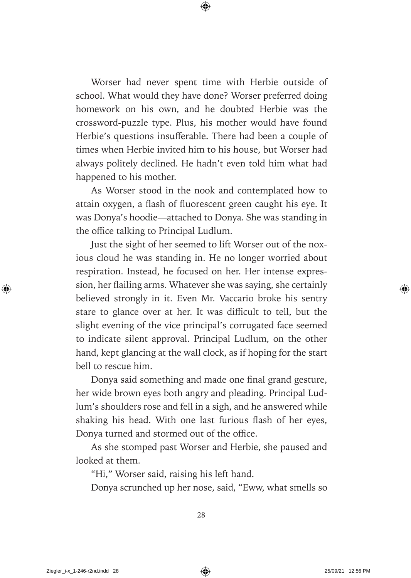Worser had never spent time with Herbie outside of school. What would they have done? Worser preferred doing homework on his own, and he doubted Herbie was the crossword- puzzle type. Plus, his mother would have found Herbie's questions insufferable. There had been a couple of times when Herbie invited him to his house, but Worser had always politely declined. He hadn't even told him what had happened to his mother.

As Worser stood in the nook and contemplated how to attain oxygen, a flash of fluorescent green caught his eye. It was Donya's hoodie— attached to Donya. She was standing in the office talking to Principal Ludlum.

Just the sight of her seemed to lift Worser out of the noxious cloud he was standing in. He no longer worried about respiration. Instead, he focused on her. Her intense expression, her flailing arms. Whatever she was saying, she certainly believed strongly in it. Even Mr. Vaccario broke his sentry stare to glance over at her. It was difficult to tell, but the slight evening of the vice principal's corrugated face seemed to indicate silent approval. Principal Ludlum, on the other hand, kept glancing at the wall clock, as if hoping for the start bell to rescue him.

Donya said something and made one final grand gesture, her wide brown eyes both angry and pleading. Principal Ludlum's shoulders rose and fell in a sigh, and he answered while shaking his head. With one last furious flash of her eyes, Donya turned and stormed out of the office.

As she stomped past Worser and Herbie, she paused and looked at them.

"Hi," Worser said, raising his left hand.

Donya scrunched up her nose, said, "Eww, what smells so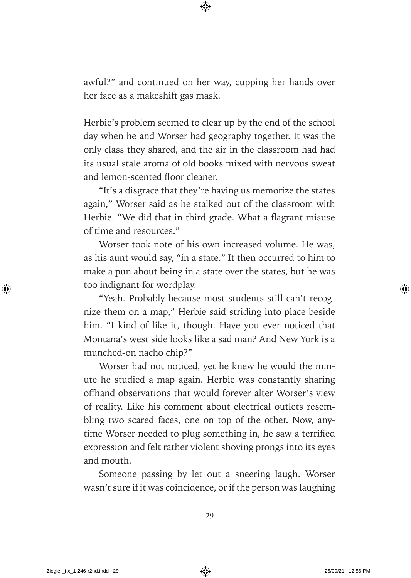awful?" and continued on her way, cupping her hands over her face as a makeshift gas mask.

Herbie's problem seemed to clear up by the end of the school day when he and Worser had geography together. It was the only class they shared, and the air in the classroom had had its usual stale aroma of old books mixed with nervous sweat and lemon-scented floor cleaner.

"It's a disgrace that they're having us memorize the states again," Worser said as he stalked out of the classroom with Herbie. "We did that in third grade. What a flagrant misuse of time and resources."

Worser took note of his own increased volume. He was, as his aunt would say, "in a state." It then occurred to him to make a pun about being in a state over the states, but he was too indignant for wordplay.

"Yeah. Probably because most students still can't recognize them on a map," Herbie said striding into place beside him. "I kind of like it, though. Have you ever noticed that Montana's west side looks like a sad man? And New York is a munched-on nacho chip?"

Worser had not noticed, yet he knew he would the minute he studied a map again. Herbie was constantly sharing offhand observations that would forever alter Worser's view of reality. Like his comment about electrical outlets resembling two scared faces, one on top of the other. Now, anytime Worser needed to plug something in, he saw a terrified expression and felt rather violent shoving prongs into its eyes and mouth.

Someone passing by let out a sneering laugh. Worser wasn't sure if it was coincidence, or if the person was laughing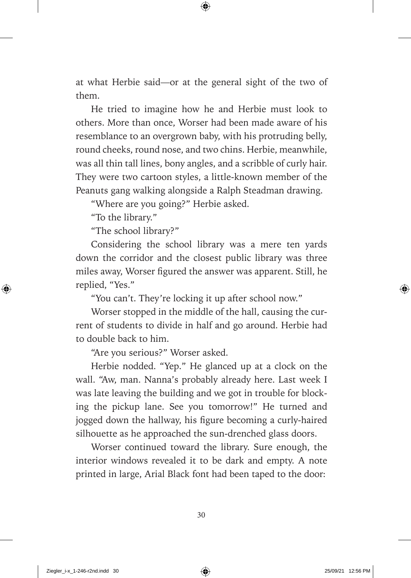at what Herbie said— or at the general sight of the two of them.

He tried to imagine how he and Herbie must look to others. More than once, Worser had been made aware of his resemblance to an overgrown baby, with his protruding belly, round cheeks, round nose, and two chins. Herbie, meanwhile, was all thin tall lines, bony angles, and a scribble of curly hair. They were two cartoon styles, a little-known member of the Peanuts gang walking alongside a Ralph Steadman drawing.

"Where are you going?" Herbie asked.

"To the library."

"The school library?"

Considering the school library was a mere ten yards down the corridor and the closest public library was three miles away, Worser figured the answer was apparent. Still, he replied, "Yes."

"You can't. They're locking it up after school now."

Worser stopped in the middle of the hall, causing the current of students to divide in half and go around. Herbie had to double back to him.

"Are you serious?" Worser asked.

Herbie nodded. "Yep." He glanced up at a clock on the wall. "Aw, man. Nanna's probably already here. Last week I was late leaving the building and we got in trouble for blocking the pickup lane. See you tomorrow!" He turned and jogged down the hallway, his figure becoming a curly-haired silhouette as he approached the sun-drenched glass doors.

Worser continued toward the library. Sure enough, the interior windows revealed it to be dark and empty. A note printed in large, Arial Black font had been taped to the door: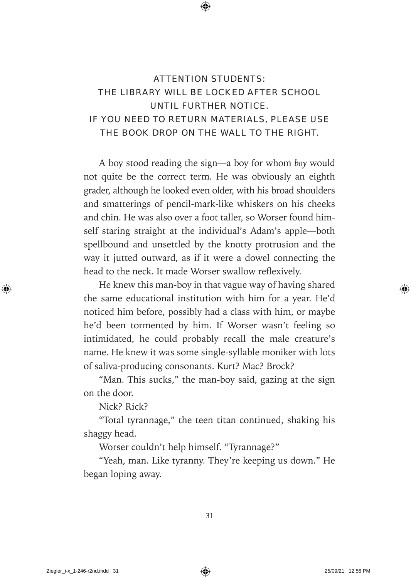#### ATTENTION STUDENTS: THE LIBRARY WILL BE LOCKED AFTER SCHOOL UNTIL FURTHER NOTICE. IF YOU NEED TO RETURN MATERIALS, PLEASE USE THE BOOK DROP ON THE WALL TO THE RIGHT.

A boy stood reading the sign— a boy for whom *boy* would not quite be the correct term. He was obviously an eighth grader, although he looked even older, with his broad shoulders and smatterings of pencil-mark-like whiskers on his cheeks and chin. He was also over a foot taller, so Worser found himself staring straight at the individual's Adam's apple— both spellbound and unsettled by the knotty protrusion and the way it jutted outward, as if it were a dowel connecting the head to the neck. It made Worser swallow reflexively.

He knew this man-boy in that vague way of having shared the same educational institution with him for a year. He'd noticed him before, possibly had a class with him, or maybe he'd been tormented by him. If Worser wasn't feeling so intimidated, he could probably recall the male creature's name. He knew it was some single-syllable moniker with lots of saliva- producing consonants. Kurt? Mac? Brock?

"Man. This sucks," the man-boy said, gazing at the sign on the door.

Nick? Rick?

"Total tyrannage," the teen titan continued, shaking his shaggy head.

Worser couldn't help himself. "Tyrannage?"

"Yeah, man. Like tyranny. They're keeping us down." He began loping away.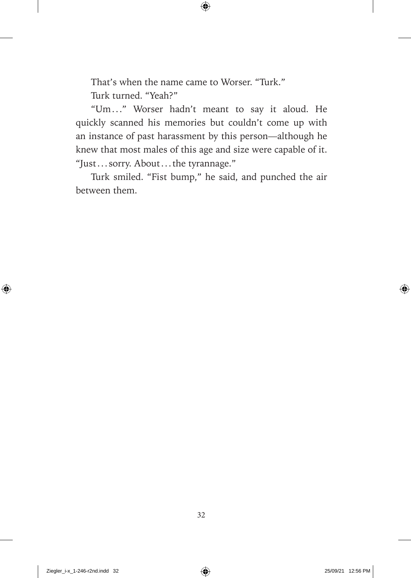That's when the name came to Worser. "Turk." Turk turned. "Yeah?"

"Um . . ." Worser hadn't meant to say it aloud. He quickly scanned his memories but couldn't come up with an instance of past harassment by this person— although he knew that most males of this age and size were capable of it. "Just . . . sorry. About . . . the tyrannage."

Turk smiled. "Fist bump," he said, and punched the air between them.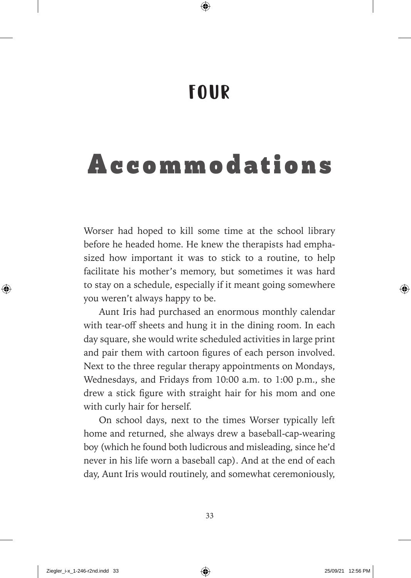### FOUR

## Accommodations

Worser had hoped to kill some time at the school library before he headed home. He knew the therapists had emphasized how important it was to stick to a routine, to help facilitate his mother's memory, but sometimes it was hard to stay on a schedule, especially if it meant going somewhere you weren't always happy to be.

Aunt Iris had purchased an enormous monthly calendar with tear-off sheets and hung it in the dining room. In each day square, she would write scheduled activities in large print and pair them with cartoon figures of each person involved. Next to the three regular therapy appointments on Mondays, Wednesdays, and Fridays from 10:00 a.m. to 1:00 p.m., she drew a stick figure with straight hair for his mom and one with curly hair for herself.

On school days, next to the times Worser typically left home and returned, she always drew a baseball-cap-wearing boy (which he found both ludicrous and misleading, since he'd never in his life worn a baseball cap). And at the end of each day, Aunt Iris would routinely, and somewhat ceremoniously,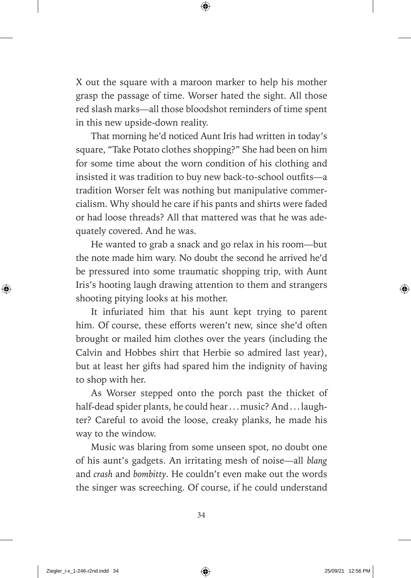X out the square with a maroon marker to help his mother grasp the passage of time. Worser hated the sight. All those red slash marks—all those bloodshot reminders of time spent in this new upside-down reality.

That morning he'd noticed Aunt Iris had written in today's square, "Take Potato clothes shopping?" She had been on him for some time about the worn condition of his clothing and insisted it was tradition to buy new back-to-school outfits-a tradition Worser felt was nothing but manipulative commercialism. Why should he care if his pants and shirts were faded or had loose threads? All that mattered was that he was adequately covered. And he was.

He wanted to grab a snack and go relax in his room—but the note made him wary. No doubt the second he arrived he'd be pressured into some traumatic shopping trip, with Aunt Iris's hooting laugh drawing attention to them and strangers shooting pitying looks at his mother.

It infuriated him that his aunt kept trying to parent him. Of course, these efforts weren't new, since she'd often brought or mailed him clothes over the years (including the Calvin and Hobbes shirt that Herbie so admired last year), but at least her gifts had spared him the indignity of having to shop with her.

As Worser stepped onto the porch past the thicket of half-dead spider plants, he could hear ... music? And ... laughter? Careful to avoid the loose, creaky planks, he made his way to the window.

Music was blaring from some unseen spot, no doubt one of his aunt's gadgets. An irritating mesh of noise— all *blang*  and *crash* and *bombitty*. He couldn't even make out the words the singer was screeching. Of course, if he could understand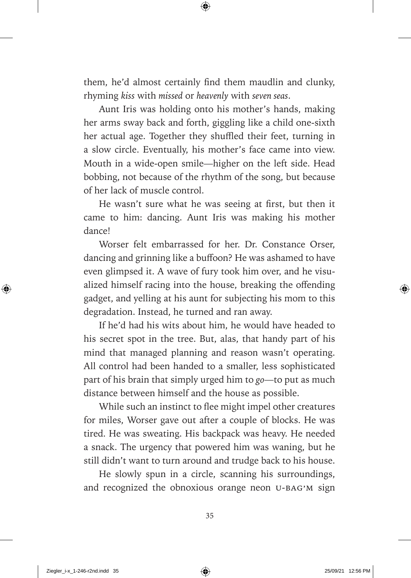them, he'd almost certainly find them maudlin and clunky, rhyming *kiss* with *missed* or *heavenly* with *seven seas*.

Aunt Iris was holding onto his mother's hands, making her arms sway back and forth, giggling like a child one-sixth her actual age. Together they shuffled their feet, turning in a slow circle. Eventually, his mother's face came into view. Mouth in a wide-open smile—higher on the left side. Head bobbing, not because of the rhythm of the song, but because of her lack of muscle control.

He wasn't sure what he was seeing at first, but then it came to him: dancing. Aunt Iris was making his mother dance!

Worser felt embarrassed for her. Dr. Constance Orser, dancing and grinning like a buffoon? He was ashamed to have even glimpsed it. A wave of fury took him over, and he visualized himself racing into the house, breaking the offending gadget, and yelling at his aunt for subjecting his mom to this degradation. Instead, he turned and ran away.

If he'd had his wits about him, he would have headed to his secret spot in the tree. But, alas, that handy part of his mind that managed planning and reason wasn't operating. All control had been handed to a smaller, less sophisticated part of his brain that simply urged him to *go*— to put as much distance between himself and the house as possible.

While such an instinct to flee might impel other creatures for miles, Worser gave out after a couple of blocks. He was tired. He was sweating. His backpack was heavy. He needed a snack. The urgency that powered him was waning, but he still didn't want to turn around and trudge back to his house.

He slowly spun in a circle, scanning his surroundings, and recognized the obnoxious orange neon U-BAG'M sign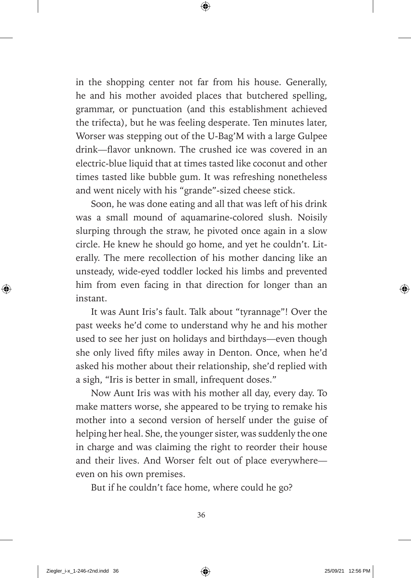in the shopping center not far from his house. Generally, he and his mother avoided places that butchered spelling, grammar, or punctuation (and this establishment achieved the trifecta), but he was feeling desperate. Ten minutes later, Worser was stepping out of the U-Bag'M with a large Gulpee drink—flavor unknown. The crushed ice was covered in an electric- blue liquid that at times tasted like coconut and other times tasted like bubble gum. It was refreshing nonetheless and went nicely with his "grande"- sized cheese stick.

Soon, he was done eating and all that was left of his drink was a small mound of aquamarine-colored slush. Noisily slurping through the straw, he pivoted once again in a slow circle. He knew he should go home, and yet he couldn't. Literally. The mere recollection of his mother dancing like an unsteady, wide-eyed toddler locked his limbs and prevented him from even facing in that direction for longer than an instant.

It was Aunt Iris's fault. Talk about "tyrannage"! Over the past weeks he'd come to understand why he and his mother used to see her just on holidays and birthdays— even though she only lived fifty miles away in Denton. Once, when he'd asked his mother about their relationship, she'd replied with a sigh, "Iris is better in small, infrequent doses."

Now Aunt Iris was with his mother all day, every day. To make matters worse, she appeared to be trying to remake his mother into a second version of herself under the guise of helping her heal. She, the younger sister, was suddenly the one in charge and was claiming the right to reorder their house and their lives. And Worser felt out of place everywhere even on his own premises.

But if he couldn't face home, where could he go?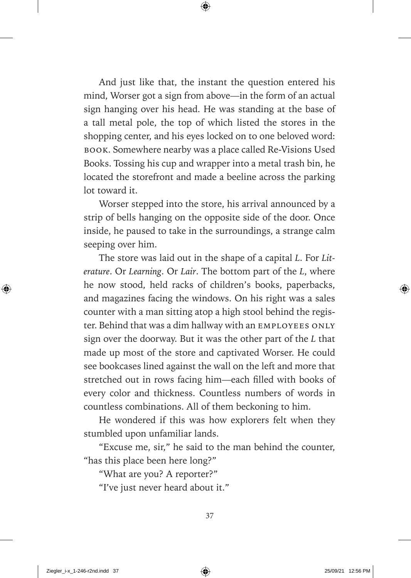And just like that, the instant the question entered his mind, Worser got a sign from above—in the form of an actual sign hanging over his head. He was standing at the base of a tall metal pole, the top of which listed the stores in the shopping center, and his eyes locked on to one beloved word: book. Somewhere nearby was a place called Re-Visions Used Books. Tossing his cup and wrapper into a metal trash bin, he located the storefront and made a beeline across the parking lot toward it.

Worser stepped into the store, his arrival announced by a strip of bells hanging on the opposite side of the door. Once inside, he paused to take in the surroundings, a strange calm seeping over him.

The store was laid out in the shape of a capital *L*. For *Literature*. Or *Learning*. Or *Lair*. The bottom part of the *L*, where he now stood, held racks of children's books, paperbacks, and magazines facing the windows. On his right was a sales counter with a man sitting atop a high stool behind the register. Behind that was a dim hallway with an EMPLOYEES ONLY sign over the doorway. But it was the other part of the *L* that made up most of the store and captivated Worser. He could see bookcases lined against the wall on the left and more that stretched out in rows facing him—each filled with books of every color and thickness. Countless numbers of words in countless combinations. All of them beckoning to him.

He wondered if this was how explorers felt when they stumbled upon unfamiliar lands.

"Excuse me, sir," he said to the man behind the counter, "has this place been here long?"

"What are you? A reporter?"

"I've just never heard about it."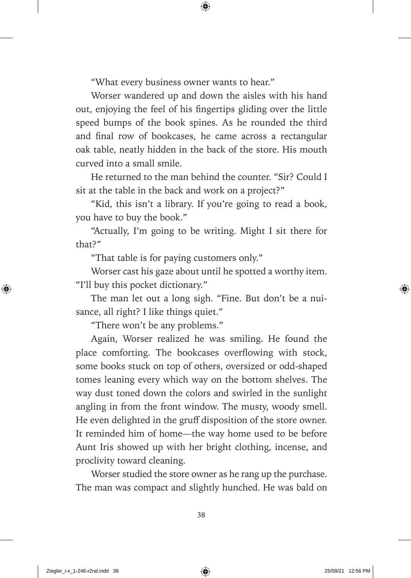"What every business owner wants to hear."

Worser wandered up and down the aisles with his hand out, enjoying the feel of his fingertips gliding over the little speed bumps of the book spines. As he rounded the third and final row of bookcases, he came across a rectangular oak table, neatly hidden in the back of the store. His mouth curved into a small smile.

He returned to the man behind the counter. "Sir? Could I sit at the table in the back and work on a project?"

"Kid, this isn't a library. If you're going to read a book, you have to buy the book."

"Actually, I'm going to be writing. Might I sit there for that?"

"That table is for paying customers only."

Worser cast his gaze about until he spotted a worthy item. "I'll buy this pocket dictionary."

The man let out a long sigh. "Fine. But don't be a nuisance, all right? I like things quiet."

"There won't be any problems."

Again, Worser realized he was smiling. He found the place comforting. The bookcases overflowing with stock, some books stuck on top of others, oversized or odd-shaped tomes leaning every which way on the bottom shelves. The way dust toned down the colors and swirled in the sunlight angling in from the front window. The musty, woody smell. He even delighted in the gruff disposition of the store owner. It reminded him of home— the way home used to be before Aunt Iris showed up with her bright clothing, incense, and proclivity toward cleaning.

Worser studied the store owner as he rang up the purchase. The man was compact and slightly hunched. He was bald on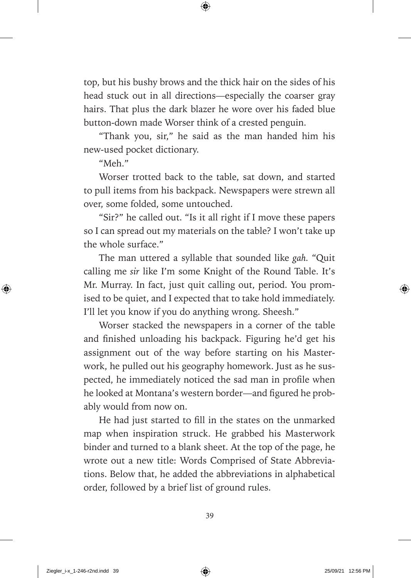top, but his bushy brows and the thick hair on the sides of his head stuck out in all directions— especially the coarser gray hairs. That plus the dark blazer he wore over his faded blue button- down made Worser think of a crested penguin.

"Thank you, sir," he said as the man handed him his new-used pocket dictionary.

"Meh."

Worser trotted back to the table, sat down, and started to pull items from his backpack. Newspapers were strewn all over, some folded, some untouched.

"Sir?" he called out. "Is it all right if I move these papers so I can spread out my materials on the table? I won't take up the whole surface."

The man uttered a syllable that sounded like *gah.* "Quit calling me *sir* like I'm some Knight of the Round Table. It's Mr. Murray. In fact, just quit calling out, period. You promised to be quiet, and I expected that to take hold immediately. I'll let you know if you do anything wrong. Sheesh."

Worser stacked the newspapers in a corner of the table and finished unloading his backpack. Figuring he'd get his assignment out of the way before starting on his Masterwork, he pulled out his geography homework. Just as he suspected, he immediately noticed the sad man in profile when he looked at Montana's western border—and figured he probably would from now on.

He had just started to fill in the states on the unmarked map when inspiration struck. He grabbed his Masterwork binder and turned to a blank sheet. At the top of the page, he wrote out a new title: Words Comprised of State Abbreviations. Below that, he added the abbreviations in alphabetical order, followed by a brief list of ground rules.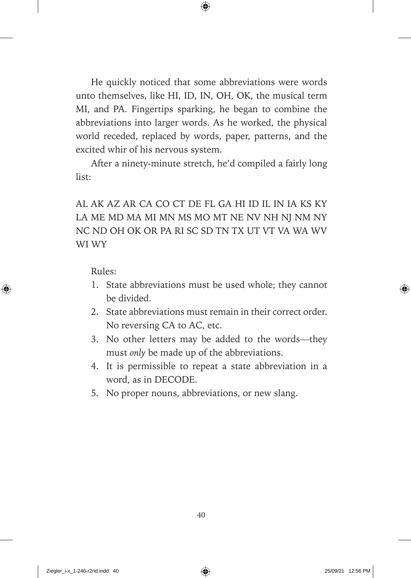He quickly noticed that some abbreviations were words unto themselves, like HI, ID, IN, OH, OK, the musical term MI, and PA. Fingertips sparking, he began to combine the abbreviations into larger words. As he worked, the physical world receded, replaced by words, paper, patterns, and the excited whir of his nervous system.

After a ninety-minute stretch, he'd compiled a fairly long list:

#### AL AK AZ AR CA CO CT DE FL GA HI ID IL IN IA KS KY LA ME MD MA MI MN MS MO MT NE NV NH NJ NM NY NC ND OH OK OR PA RI SC SD TN TX UT VT VA WA WV WI WY

Rules:

- 1. State abbreviations must be used whole; they cannot be divided.
- 2. State abbreviations must remain in their correct order. No reversing CA to AC, etc.
- 3. No other letters may be added to the words— they must *only* be made up of the abbreviations.
- 4. It is permissible to repeat a state abbreviation in a word, as in DECODE.
- 5. No proper nouns, abbreviations, or new slang.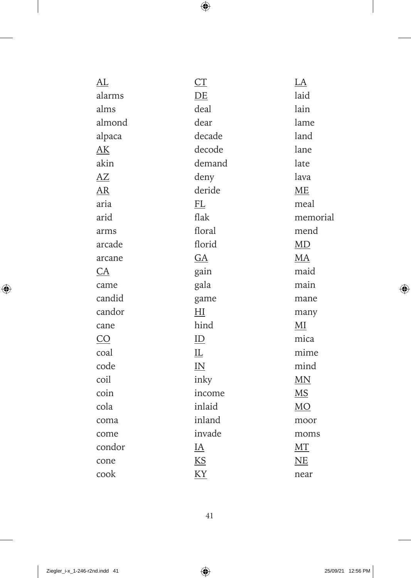| AL     | CT        | $L\underline{A}$       |
|--------|-----------|------------------------|
| alarms | DE        | laid                   |
| alms   | deal      | lain                   |
| almond | dear      | lame                   |
| alpaca | decade    | land                   |
| AK     | decode    | lane                   |
| akin   | demand    | late                   |
| AZ     | deny      | lava                   |
| AR     | deride    | ME                     |
| aria   | FL        | meal                   |
| arid   | flak      | memorial               |
| arms   | floral    | mend                   |
| arcade | florid    | MD                     |
| arcane | GA        | <b>MA</b>              |
| CA     | gain      | maid                   |
| came   | gala      | main                   |
| candid | game      | mane                   |
| candor | H         | many                   |
| cane   | hind      | $\overline{\text{MI}}$ |
| CO     | ID        | mica                   |
| coal   | IL        | mime                   |
| code   | IN        | mind                   |
| coil   | inky      | <b>MN</b>              |
| coin   | income    | $\underline{MS}$       |
| cola   | inlaid    | $\underline{MO}$       |
| coma   | inland    | moor                   |
| come   | invade    | moms                   |
| condor | <u>IA</u> | MT                     |
| cone   | KS        | NE                     |
| cook   | KY        | near                   |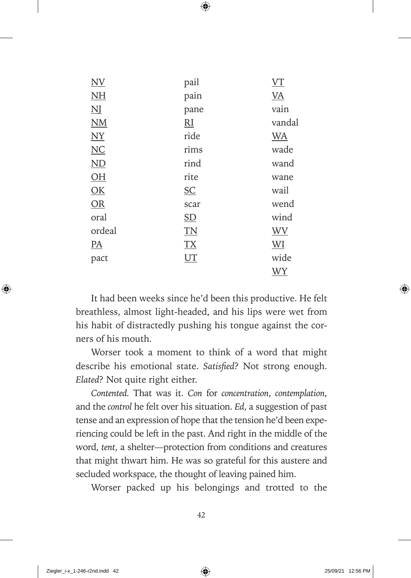| pail                      | VT        |
|---------------------------|-----------|
| pain                      | <b>VA</b> |
| pane                      | vain      |
| $R_{\rm I}$               | vandal    |
| ride                      | <b>WA</b> |
| rims                      | wade      |
| rind                      | wand      |
| rite                      | wane      |
| $\underline{\mathsf{SC}}$ | wail      |
| scar                      | wend      |
| $\underline{\mathrm{SD}}$ | wind      |
| T <sub>N</sub>            | <b>WV</b> |
| <b>TX</b>                 | <b>WI</b> |
| UT                        | wide      |
|                           | WY        |
|                           |           |

It had been weeks since he'd been this productive. He felt breathless, almost light-headed, and his lips were wet from his habit of distractedly pushing his tongue against the corners of his mouth.

Worser took a moment to think of a word that might describe his emotional state. *Satisfied*? Not strong enough. *Elated*? Not quite right either.

*Contented.* That was it. *Con* for *concentration*, *contemplation*, and the *control* he felt over his situation. *Ed*, a suggestion of past tense and an expression of hope that the tension he'd been experiencing could be left in the past. And right in the middle of the word, *tent*, a shelter— protection from conditions and creatures that might thwart him. He was so grateful for this austere and secluded workspace, the thought of leaving pained him.

Worser packed up his belongings and trotted to the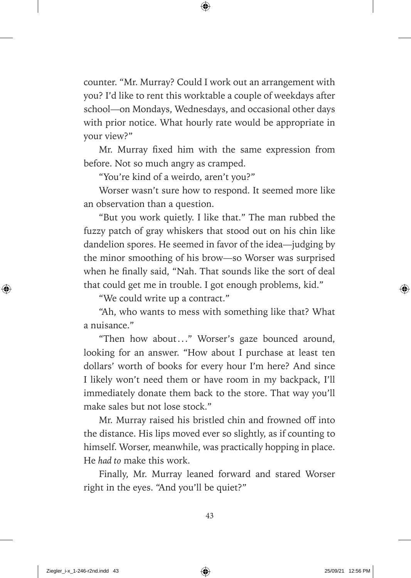counter. "Mr. Murray? Could I work out an arrangement with you? I'd like to rent this worktable a couple of weekdays after school—on Mondays, Wednesdays, and occasional other days with prior notice. What hourly rate would be appropriate in your view?"

Mr. Murray fixed him with the same expression from before. Not so much angry as cramped.

"You're kind of a weirdo, aren't you?"

Worser wasn't sure how to respond. It seemed more like an observation than a question.

"But you work quietly. I like that." The man rubbed the fuzzy patch of gray whiskers that stood out on his chin like dandelion spores. He seemed in favor of the idea— judging by the minor smoothing of his brow— so Worser was surprised when he finally said, "Nah. That sounds like the sort of deal that could get me in trouble. I got enough problems, kid."

"We could write up a contract."

"Ah, who wants to mess with something like that? What a nuisance."

"Then how about..." Worser's gaze bounced around, looking for an answer. "How about I purchase at least ten dollars' worth of books for every hour I'm here? And since I likely won't need them or have room in my backpack, I'll immediately donate them back to the store. That way you'll make sales but not lose stock."

Mr. Murray raised his bristled chin and frowned off into the distance. His lips moved ever so slightly, as if counting to himself. Worser, meanwhile, was practically hopping in place. He *had to* make this work.

Finally, Mr. Murray leaned forward and stared Worser right in the eyes. "And you'll be quiet?"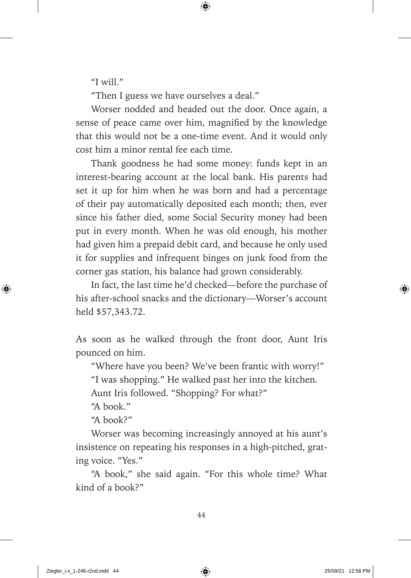"I will."

"Then I guess we have ourselves a deal."

Worser nodded and headed out the door. Once again, a sense of peace came over him, magnified by the knowledge that this would not be a one-time event. And it would only cost him a minor rental fee each time.

Thank goodness he had some money: funds kept in an interest- bearing account at the local bank. His parents had set it up for him when he was born and had a percentage of their pay automatically deposited each month; then, ever since his father died, some Social Security money had been put in every month. When he was old enough, his mother had given him a prepaid debit card, and because he only used it for supplies and infrequent binges on junk food from the corner gas station, his balance had grown considerably.

In fact, the last time he'd checked— before the purchase of his after-school snacks and the dictionary—Worser's account held \$57,343.72.

As soon as he walked through the front door, Aunt Iris pounced on him.

"Where have you been? We've been frantic with worry!"

"I was shopping." He walked past her into the kitchen.

Aunt Iris followed. "Shopping? For what?"

"A book."

"A book?"

Worser was becoming increasingly annoyed at his aunt's insistence on repeating his responses in a high-pitched, grating voice. "Yes."

"A book," she said again. "For this whole time? What kind of a book?"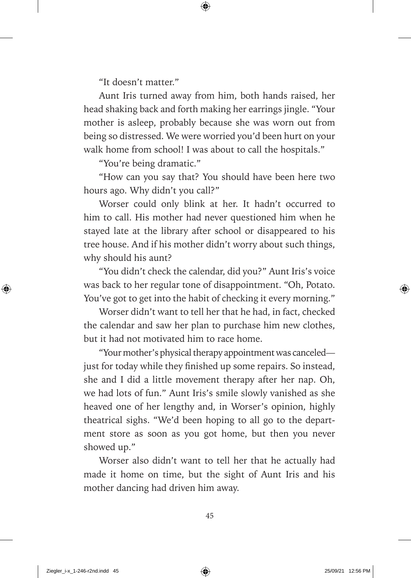"It doesn't matter."

Aunt Iris turned away from him, both hands raised, her head shaking back and forth making her earrings jingle. "Your mother is asleep, probably because she was worn out from being so distressed. We were worried you'd been hurt on your walk home from school! I was about to call the hospitals."

"You're being dramatic."

"How can you say that? You should have been here two hours ago. Why didn't you call?"

Worser could only blink at her. It hadn't occurred to him to call. His mother had never questioned him when he stayed late at the library after school or disappeared to his tree house. And if his mother didn't worry about such things, why should his aunt?

"You didn't check the calendar, did you?" Aunt Iris's voice was back to her regular tone of disappointment. "Oh, Potato. You've got to get into the habit of checking it every morning."

Worser didn't want to tell her that he had, in fact, checked the calendar and saw her plan to purchase him new clothes, but it had not motivated him to race home.

"Your mother's physical therapy appointment was canceled just for today while they finished up some repairs. So instead, she and I did a little movement therapy after her nap. Oh, we had lots of fun." Aunt Iris's smile slowly vanished as she heaved one of her lengthy and, in Worser's opinion, highly theatrical sighs. "We'd been hoping to all go to the department store as soon as you got home, but then you never showed up."

Worser also didn't want to tell her that he actually had made it home on time, but the sight of Aunt Iris and his mother dancing had driven him away.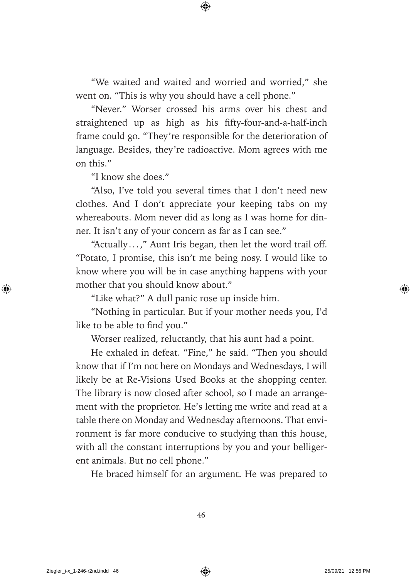"We waited and waited and worried and worried," she went on. "This is why you should have a cell phone."

"Never." Worser crossed his arms over his chest and straightened up as high as his fifty-four-and-a-half-inch frame could go. "They're responsible for the deterioration of language. Besides, they're radioactive. Mom agrees with me on this."

"I know she does."

"Also, I've told you several times that I don't need new clothes. And I don't appreciate your keeping tabs on my whereabouts. Mom never did as long as I was home for dinner. It isn't any of your concern as far as I can see."

"Actually ...," Aunt Iris began, then let the word trail off. "Potato, I promise, this isn't me being nosy. I would like to know where you will be in case anything happens with your mother that you should know about."

"Like what?" A dull panic rose up inside him.

"Nothing in particular. But if your mother needs you, I'd like to be able to find you."

Worser realized, reluctantly, that his aunt had a point.

He exhaled in defeat. "Fine," he said. "Then you should know that if I'm not here on Mondays and Wednesdays, I will likely be at Re-Visions Used Books at the shopping center. The library is now closed after school, so I made an arrangement with the proprietor. He's letting me write and read at a table there on Monday and Wednesday afternoons. That environment is far more conducive to studying than this house, with all the constant interruptions by you and your belligerent animals. But no cell phone."

He braced himself for an argument. He was prepared to